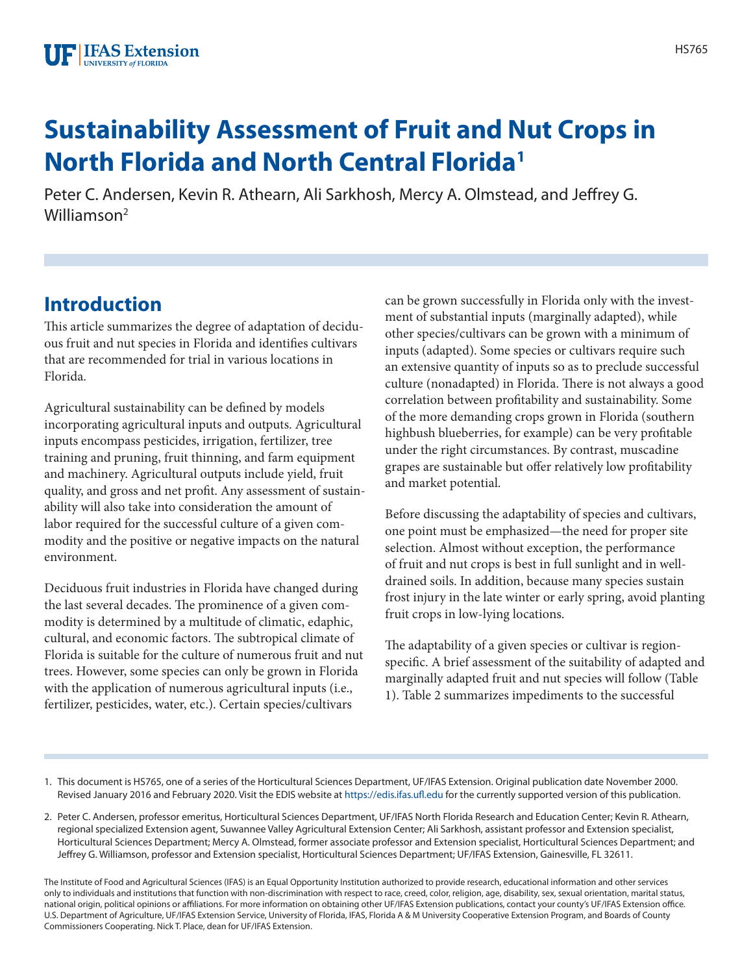# **Sustainability Assessment of Fruit and Nut Crops in North Florida and North Central Florida1**

Peter C. Andersen, Kevin R. Athearn, Ali Sarkhosh, Mercy A. Olmstead, and Jeffrey G. Williamson<sup>2</sup>

# **Introduction**

This article summarizes the degree of adaptation of deciduous fruit and nut species in Florida and identifies cultivars that are recommended for trial in various locations in Florida.

Agricultural sustainability can be defined by models incorporating agricultural inputs and outputs. Agricultural inputs encompass pesticides, irrigation, fertilizer, tree training and pruning, fruit thinning, and farm equipment and machinery. Agricultural outputs include yield, fruit quality, and gross and net profit. Any assessment of sustainability will also take into consideration the amount of labor required for the successful culture of a given commodity and the positive or negative impacts on the natural environment.

Deciduous fruit industries in Florida have changed during the last several decades. The prominence of a given commodity is determined by a multitude of climatic, edaphic, cultural, and economic factors. The subtropical climate of Florida is suitable for the culture of numerous fruit and nut trees. However, some species can only be grown in Florida with the application of numerous agricultural inputs (i.e., fertilizer, pesticides, water, etc.). Certain species/cultivars

can be grown successfully in Florida only with the investment of substantial inputs (marginally adapted), while other species/cultivars can be grown with a minimum of inputs (adapted). Some species or cultivars require such an extensive quantity of inputs so as to preclude successful culture (nonadapted) in Florida. There is not always a good correlation between profitability and sustainability. Some of the more demanding crops grown in Florida (southern highbush blueberries, for example) can be very profitable under the right circumstances. By contrast, muscadine grapes are sustainable but offer relatively low profitability and market potential.

Before discussing the adaptability of species and cultivars, one point must be emphasized—the need for proper site selection. Almost without exception, the performance of fruit and nut crops is best in full sunlight and in welldrained soils. In addition, because many species sustain frost injury in the late winter or early spring, avoid planting fruit crops in low-lying locations.

The adaptability of a given species or cultivar is regionspecific. A brief assessment of the suitability of adapted and marginally adapted fruit and nut species will follow (Table 1). Table 2 summarizes impediments to the successful

1. This document is HS765, one of a series of the Horticultural Sciences Department, UF/IFAS Extension. Original publication date November 2000. Revised January 2016 and February 2020. Visit the EDIS website at<https://edis.ifas.ufl.edu>for the currently supported version of this publication.

2. Peter C. Andersen, professor emeritus, Horticultural Sciences Department, UF/IFAS North Florida Research and Education Center; Kevin R. Athearn, regional specialized Extension agent, Suwannee Valley Agricultural Extension Center; Ali Sarkhosh, assistant professor and Extension specialist, Horticultural Sciences Department; Mercy A. Olmstead, former associate professor and Extension specialist, Horticultural Sciences Department; and Jeffrey G. Williamson, professor and Extension specialist, Horticultural Sciences Department; UF/IFAS Extension, Gainesville, FL 32611.

The Institute of Food and Agricultural Sciences (IFAS) is an Equal Opportunity Institution authorized to provide research, educational information and other services only to individuals and institutions that function with non-discrimination with respect to race, creed, color, religion, age, disability, sex, sexual orientation, marital status, national origin, political opinions or affiliations. For more information on obtaining other UF/IFAS Extension publications, contact your county's UF/IFAS Extension office. U.S. Department of Agriculture, UF/IFAS Extension Service, University of Florida, IFAS, Florida A & M University Cooperative Extension Program, and Boards of County Commissioners Cooperating. Nick T. Place, dean for UF/IFAS Extension.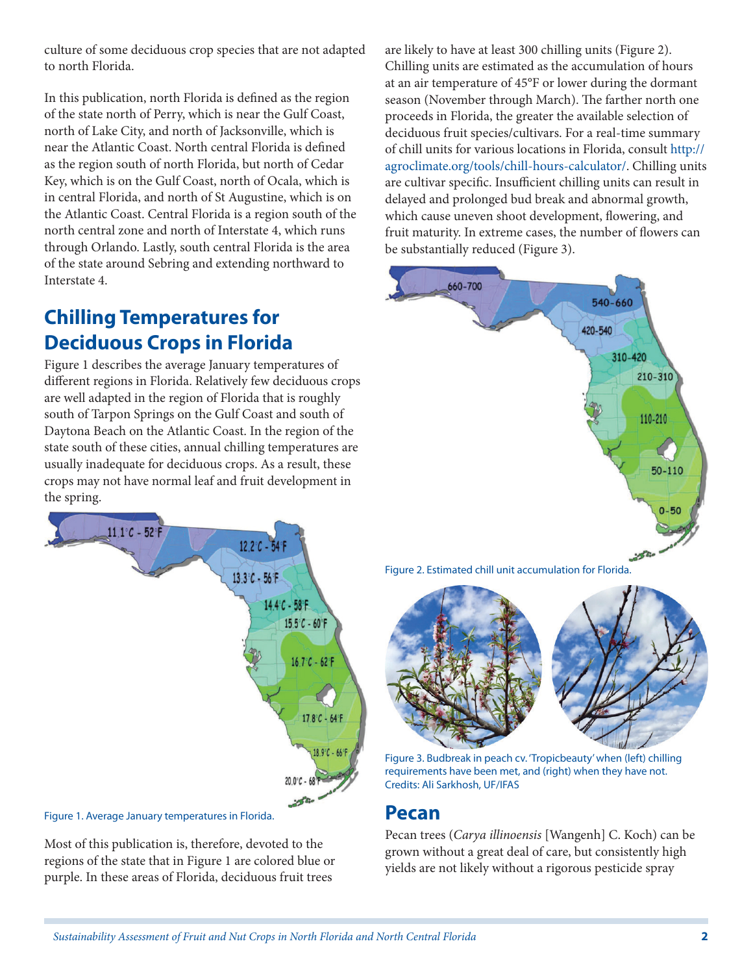culture of some deciduous crop species that are not adapted to north Florida.

In this publication, north Florida is defined as the region of the state north of Perry, which is near the Gulf Coast, north of Lake City, and north of Jacksonville, which is near the Atlantic Coast. North central Florida is defined as the region south of north Florida, but north of Cedar Key, which is on the Gulf Coast, north of Ocala, which is in central Florida, and north of St Augustine, which is on the Atlantic Coast. Central Florida is a region south of the north central zone and north of Interstate 4, which runs through Orlando. Lastly, south central Florida is the area of the state around Sebring and extending northward to Interstate 4.

# **Chilling Temperatures for Deciduous Crops in Florida**

Figure 1 describes the average January temperatures of different regions in Florida. Relatively few deciduous crops are well adapted in the region of Florida that is roughly south of Tarpon Springs on the Gulf Coast and south of Daytona Beach on the Atlantic Coast. In the region of the state south of these cities, annual chilling temperatures are usually inadequate for deciduous crops. As a result, these crops may not have normal leaf and fruit development in the spring.



Most of this publication is, therefore, devoted to the regions of the state that in Figure 1 are colored blue or purple. In these areas of Florida, deciduous fruit trees

are likely to have at least 300 chilling units (Figure 2). Chilling units are estimated as the accumulation of hours at an air temperature of 45°F or lower during the dormant season (November through March). The farther north one proceeds in Florida, the greater the available selection of deciduous fruit species/cultivars. For a real-time summary of chill units for various locations in Florida, consult [http://](http://agroclimate.org/tools/chill-hours-calculator/) [agroclimate.org/tools/chill-hours-calculator/](http://agroclimate.org/tools/chill-hours-calculator/). Chilling units are cultivar specific. Insufficient chilling units can result in delayed and prolonged bud break and abnormal growth, which cause uneven shoot development, flowering, and fruit maturity. In extreme cases, the number of flowers can be substantially reduced (Figure 3).







Figure 3. Budbreak in peach cv. 'Tropicbeauty' when (left) chilling requirements have been met, and (right) when they have not. Credits: Ali Sarkhosh, UF/IFAS

#### **Pecan**

Pecan trees (*Carya illinoensis* [Wangenh] C. Koch) can be grown without a great deal of care, but consistently high yields are not likely without a rigorous pesticide spray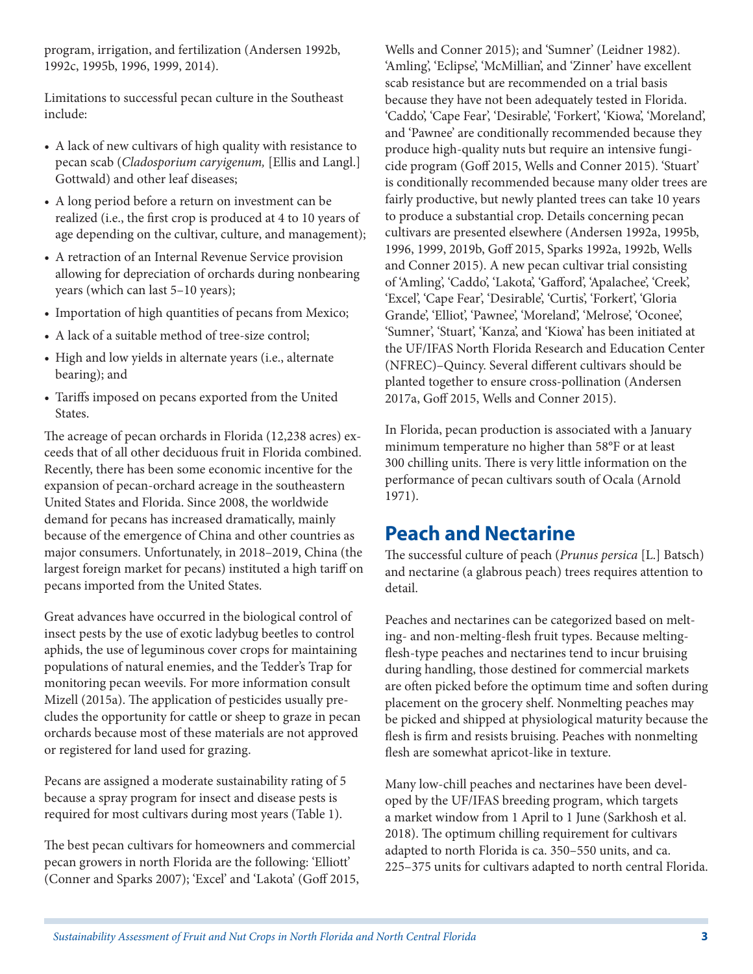program, irrigation, and fertilization (Andersen 1992b, 1992c, 1995b, 1996, 1999, 2014).

Limitations to successful pecan culture in the Southeast include:

- A lack of new cultivars of high quality with resistance to pecan scab (*Cladosporium caryigenum,* [Ellis and Langl.] Gottwald) and other leaf diseases;
- A long period before a return on investment can be realized (i.e., the first crop is produced at 4 to 10 years of age depending on the cultivar, culture, and management);
- A retraction of an Internal Revenue Service provision allowing for depreciation of orchards during nonbearing years (which can last 5–10 years);
- Importation of high quantities of pecans from Mexico;
- A lack of a suitable method of tree-size control;
- High and low yields in alternate years (i.e., alternate bearing); and
- Tariffs imposed on pecans exported from the United States.

The acreage of pecan orchards in Florida (12,238 acres) exceeds that of all other deciduous fruit in Florida combined. Recently, there has been some economic incentive for the expansion of pecan-orchard acreage in the southeastern United States and Florida. Since 2008, the worldwide demand for pecans has increased dramatically, mainly because of the emergence of China and other countries as major consumers. Unfortunately, in 2018–2019, China (the largest foreign market for pecans) instituted a high tariff on pecans imported from the United States.

Great advances have occurred in the biological control of insect pests by the use of exotic ladybug beetles to control aphids, the use of leguminous cover crops for maintaining populations of natural enemies, and the Tedder's Trap for monitoring pecan weevils. For more information consult Mizell (2015a). The application of pesticides usually precludes the opportunity for cattle or sheep to graze in pecan orchards because most of these materials are not approved or registered for land used for grazing.

Pecans are assigned a moderate sustainability rating of 5 because a spray program for insect and disease pests is required for most cultivars during most years (Table 1).

The best pecan cultivars for homeowners and commercial pecan growers in north Florida are the following: 'Elliott' (Conner and Sparks 2007); 'Excel' and 'Lakota' (Goff 2015, Wells and Conner 2015); and 'Sumner' (Leidner 1982). 'Amling', 'Eclipse', 'McMillian', and 'Zinner' have excellent scab resistance but are recommended on a trial basis because they have not been adequately tested in Florida. 'Caddo', 'Cape Fear', 'Desirable', 'Forkert', 'Kiowa', 'Moreland', and 'Pawnee' are conditionally recommended because they produce high-quality nuts but require an intensive fungicide program (Goff 2015, Wells and Conner 2015). 'Stuart' is conditionally recommended because many older trees are fairly productive, but newly planted trees can take 10 years to produce a substantial crop. Details concerning pecan cultivars are presented elsewhere (Andersen 1992a, 1995b, 1996, 1999, 2019b, Goff 2015, Sparks 1992a, 1992b, Wells and Conner 2015). A new pecan cultivar trial consisting of 'Amling', 'Caddo', 'Lakota', 'Gafford', 'Apalachee', 'Creek', 'Excel', 'Cape Fear', 'Desirable', 'Curtis', 'Forkert', 'Gloria Grande', 'Elliot', 'Pawnee', 'Moreland', 'Melrose', 'Oconee', 'Sumner', 'Stuart', 'Kanza', and 'Kiowa' has been initiated at the UF/IFAS North Florida Research and Education Center (NFREC)–Quincy. Several different cultivars should be planted together to ensure cross-pollination (Andersen 2017a, Goff 2015, Wells and Conner 2015).

In Florida, pecan production is associated with a January minimum temperature no higher than 58°F or at least 300 chilling units. There is very little information on the performance of pecan cultivars south of Ocala (Arnold 1971).

#### **Peach and Nectarine**

The successful culture of peach (*Prunus persica* [L.] Batsch) and nectarine (a glabrous peach) trees requires attention to detail.

Peaches and nectarines can be categorized based on melting- and non-melting-flesh fruit types. Because meltingflesh-type peaches and nectarines tend to incur bruising during handling, those destined for commercial markets are often picked before the optimum time and soften during placement on the grocery shelf. Nonmelting peaches may be picked and shipped at physiological maturity because the flesh is firm and resists bruising. Peaches with nonmelting flesh are somewhat apricot-like in texture.

Many low-chill peaches and nectarines have been developed by the UF/IFAS breeding program, which targets a market window from 1 April to 1 June (Sarkhosh et al. 2018). The optimum chilling requirement for cultivars adapted to north Florida is ca. 350–550 units, and ca. 225–375 units for cultivars adapted to north central Florida.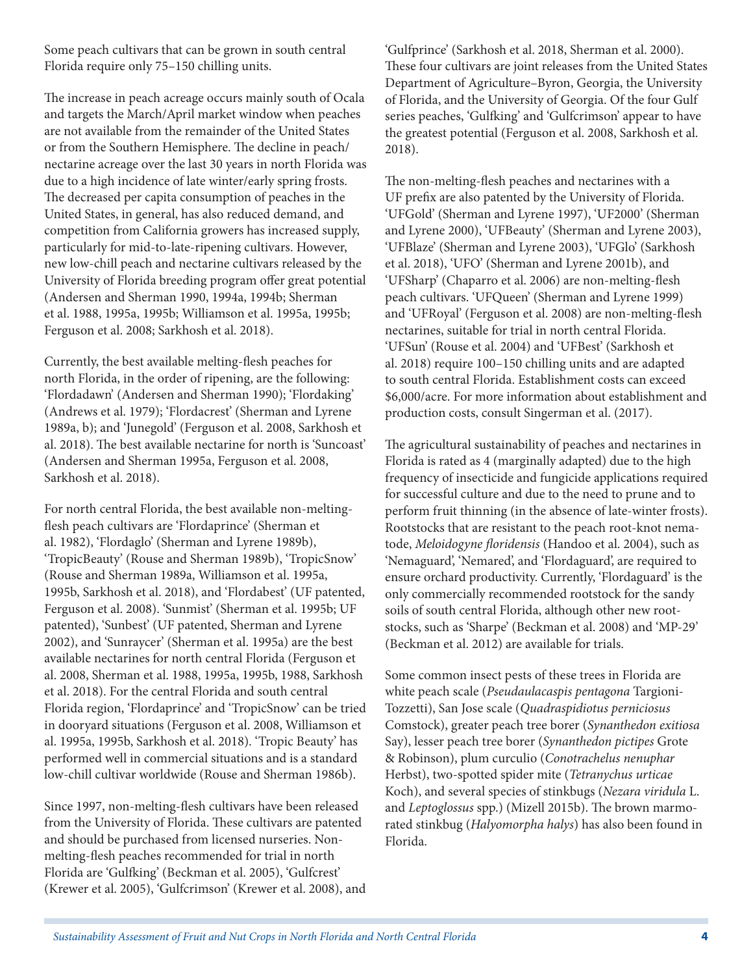Some peach cultivars that can be grown in south central Florida require only 75–150 chilling units.

The increase in peach acreage occurs mainly south of Ocala and targets the March/April market window when peaches are not available from the remainder of the United States or from the Southern Hemisphere. The decline in peach/ nectarine acreage over the last 30 years in north Florida was due to a high incidence of late winter/early spring frosts. The decreased per capita consumption of peaches in the United States, in general, has also reduced demand, and competition from California growers has increased supply, particularly for mid-to-late-ripening cultivars. However, new low-chill peach and nectarine cultivars released by the University of Florida breeding program offer great potential (Andersen and Sherman 1990, 1994a, 1994b; Sherman et al. 1988, 1995a, 1995b; Williamson et al. 1995a, 1995b; Ferguson et al. 2008; Sarkhosh et al. 2018).

Currently, the best available melting-flesh peaches for north Florida, in the order of ripening, are the following: 'Flordadawn' (Andersen and Sherman 1990); 'Flordaking' (Andrews et al. 1979); 'Flordacrest' (Sherman and Lyrene 1989a, b); and 'Junegold' (Ferguson et al. 2008, Sarkhosh et al. 2018). The best available nectarine for north is 'Suncoast' (Andersen and Sherman 1995a, Ferguson et al. 2008, Sarkhosh et al. 2018).

For north central Florida, the best available non-meltingflesh peach cultivars are 'Flordaprince' (Sherman et al. 1982), 'Flordaglo' (Sherman and Lyrene 1989b), 'TropicBeauty' (Rouse and Sherman 1989b), 'TropicSnow' (Rouse and Sherman 1989a, Williamson et al. 1995a, 1995b, Sarkhosh et al. 2018), and 'Flordabest' (UF patented, Ferguson et al. 2008). 'Sunmist' (Sherman et al. 1995b; UF patented), 'Sunbest' (UF patented, Sherman and Lyrene 2002), and 'Sunraycer' (Sherman et al. 1995a) are the best available nectarines for north central Florida (Ferguson et al. 2008, Sherman et al. 1988, 1995a, 1995b, 1988, Sarkhosh et al. 2018). For the central Florida and south central Florida region, 'Flordaprince' and 'TropicSnow' can be tried in dooryard situations (Ferguson et al. 2008, Williamson et al. 1995a, 1995b, Sarkhosh et al. 2018). 'Tropic Beauty' has performed well in commercial situations and is a standard low-chill cultivar worldwide (Rouse and Sherman 1986b).

Since 1997, non-melting-flesh cultivars have been released from the University of Florida. These cultivars are patented and should be purchased from licensed nurseries. Nonmelting-flesh peaches recommended for trial in north Florida are 'Gulfking' (Beckman et al. 2005), 'Gulfcrest' (Krewer et al. 2005), 'Gulfcrimson' (Krewer et al. 2008), and 'Gulfprince' (Sarkhosh et al. 2018, Sherman et al. 2000). These four cultivars are joint releases from the United States Department of Agriculture–Byron, Georgia, the University of Florida, and the University of Georgia. Of the four Gulf series peaches, 'Gulfking' and 'Gulfcrimson' appear to have the greatest potential (Ferguson et al. 2008, Sarkhosh et al. 2018).

The non-melting-flesh peaches and nectarines with a UF prefix are also patented by the University of Florida. 'UFGold' (Sherman and Lyrene 1997), 'UF2000' (Sherman and Lyrene 2000), 'UFBeauty' (Sherman and Lyrene 2003), 'UFBlaze' (Sherman and Lyrene 2003), 'UFGlo' (Sarkhosh et al. 2018), 'UFO' (Sherman and Lyrene 2001b), and 'UFSharp' (Chaparro et al. 2006) are non-melting-flesh peach cultivars. 'UFQueen' (Sherman and Lyrene 1999) and 'UFRoyal' (Ferguson et al. 2008) are non-melting-flesh nectarines, suitable for trial in north central Florida. 'UFSun' (Rouse et al. 2004) and 'UFBest' (Sarkhosh et al. 2018) require 100–150 chilling units and are adapted to south central Florida. Establishment costs can exceed \$6,000/acre. For more information about establishment and production costs, consult Singerman et al. (2017).

The agricultural sustainability of peaches and nectarines in Florida is rated as 4 (marginally adapted) due to the high frequency of insecticide and fungicide applications required for successful culture and due to the need to prune and to perform fruit thinning (in the absence of late-winter frosts). Rootstocks that are resistant to the peach root-knot nematode, *Meloidogyne floridensis* (Handoo et al. 2004), such as 'Nemaguard', 'Nemared', and 'Flordaguard', are required to ensure orchard productivity. Currently, 'Flordaguard' is the only commercially recommended rootstock for the sandy soils of south central Florida, although other new rootstocks, such as 'Sharpe' (Beckman et al. 2008) and 'MP-29' (Beckman et al. 2012) are available for trials.

Some common insect pests of these trees in Florida are white peach scale (*Pseudaulacaspis pentagona* Targioni-Tozzetti), San Jose scale (*Quadraspidiotus perniciosus*  Comstock), greater peach tree borer (*Synanthedon exitiosa*  Say), lesser peach tree borer (*Synanthedon pictipes* Grote & Robinson), plum curculio (*Conotrachelus nenuphar*  Herbst), two-spotted spider mite (*Tetranychus urticae*  Koch), and several species of stinkbugs (*Nezara viridula* L. and *Leptoglossus* spp.) (Mizell 2015b). The brown marmorated stinkbug (*Halyomorpha halys*) has also been found in Florida.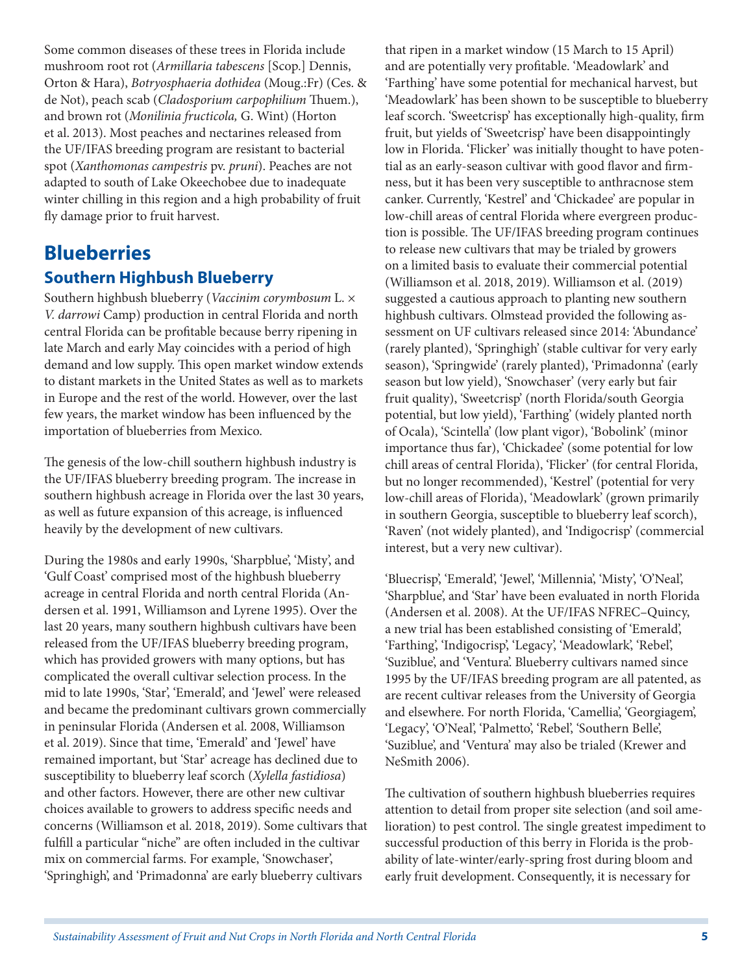Some common diseases of these trees in Florida include mushroom root rot (*Armillaria tabescens* [Scop.] Dennis, Orton & Hara), *Botryosphaeria dothidea* (Moug.:Fr) (Ces. & de Not), peach scab (*Cladosporium carpophilium* Thuem.), and brown rot (*Monilinia fructicola,* G. Wint) (Horton et al. 2013). Most peaches and nectarines released from the UF/IFAS breeding program are resistant to bacterial spot (*Xanthomonas campestris* pv. *pruni*). Peaches are not adapted to south of Lake Okeechobee due to inadequate winter chilling in this region and a high probability of fruit fly damage prior to fruit harvest.

### **Blueberries Southern Highbush Blueberry**

Southern highbush blueberry (*Vaccinim corymbosum* L. × *V. darrowi* Camp) production in central Florida and north central Florida can be profitable because berry ripening in late March and early May coincides with a period of high demand and low supply. This open market window extends to distant markets in the United States as well as to markets in Europe and the rest of the world. However, over the last few years, the market window has been influenced by the importation of blueberries from Mexico.

The genesis of the low-chill southern highbush industry is the UF/IFAS blueberry breeding program. The increase in southern highbush acreage in Florida over the last 30 years, as well as future expansion of this acreage, is influenced heavily by the development of new cultivars.

During the 1980s and early 1990s, 'Sharpblue', 'Misty', and 'Gulf Coast' comprised most of the highbush blueberry acreage in central Florida and north central Florida (Andersen et al. 1991, Williamson and Lyrene 1995). Over the last 20 years, many southern highbush cultivars have been released from the UF/IFAS blueberry breeding program, which has provided growers with many options, but has complicated the overall cultivar selection process. In the mid to late 1990s, 'Star', 'Emerald', and 'Jewel' were released and became the predominant cultivars grown commercially in peninsular Florida (Andersen et al. 2008, Williamson et al. 2019). Since that time, 'Emerald' and 'Jewel' have remained important, but 'Star' acreage has declined due to susceptibility to blueberry leaf scorch (*Xylella fastidiosa*) and other factors. However, there are other new cultivar choices available to growers to address specific needs and concerns (Williamson et al. 2018, 2019). Some cultivars that fulfill a particular "niche" are often included in the cultivar mix on commercial farms. For example, 'Snowchaser', 'Springhigh', and 'Primadonna' are early blueberry cultivars

that ripen in a market window (15 March to 15 April) and are potentially very profitable. 'Meadowlark' and 'Farthing' have some potential for mechanical harvest, but 'Meadowlark' has been shown to be susceptible to blueberry leaf scorch. 'Sweetcrisp' has exceptionally high-quality, firm fruit, but yields of 'Sweetcrisp' have been disappointingly low in Florida. 'Flicker' was initially thought to have potential as an early-season cultivar with good flavor and firmness, but it has been very susceptible to anthracnose stem canker. Currently, 'Kestrel' and 'Chickadee' are popular in low-chill areas of central Florida where evergreen production is possible. The UF/IFAS breeding program continues to release new cultivars that may be trialed by growers on a limited basis to evaluate their commercial potential (Williamson et al. 2018, 2019). Williamson et al. (2019) suggested a cautious approach to planting new southern highbush cultivars. Olmstead provided the following assessment on UF cultivars released since 2014: 'Abundance' (rarely planted), 'Springhigh' (stable cultivar for very early season), 'Springwide' (rarely planted), 'Primadonna' (early season but low yield), 'Snowchaser' (very early but fair fruit quality), 'Sweetcrisp' (north Florida/south Georgia potential, but low yield), 'Farthing' (widely planted north of Ocala), 'Scintella' (low plant vigor), 'Bobolink' (minor importance thus far), 'Chickadee' (some potential for low chill areas of central Florida), 'Flicker' (for central Florida, but no longer recommended), 'Kestrel' (potential for very low-chill areas of Florida), 'Meadowlark' (grown primarily in southern Georgia, susceptible to blueberry leaf scorch), 'Raven' (not widely planted), and 'Indigocrisp' (commercial interest, but a very new cultivar).

'Bluecrisp', 'Emerald', 'Jewel', 'Millennia', 'Misty', 'O'Neal', 'Sharpblue', and 'Star' have been evaluated in north Florida (Andersen et al. 2008). At the UF/IFAS NFREC–Quincy, a new trial has been established consisting of 'Emerald', 'Farthing', 'Indigocrisp', 'Legacy', 'Meadowlark', 'Rebel', 'Suziblue', and 'Ventura'. Blueberry cultivars named since 1995 by the UF/IFAS breeding program are all patented, as are recent cultivar releases from the University of Georgia and elsewhere. For north Florida, 'Camellia', 'Georgiagem', 'Legacy', 'O'Neal', 'Palmetto', 'Rebel', 'Southern Belle', 'Suziblue', and 'Ventura' may also be trialed (Krewer and NeSmith 2006).

The cultivation of southern highbush blueberries requires attention to detail from proper site selection (and soil amelioration) to pest control. The single greatest impediment to successful production of this berry in Florida is the probability of late-winter/early-spring frost during bloom and early fruit development. Consequently, it is necessary for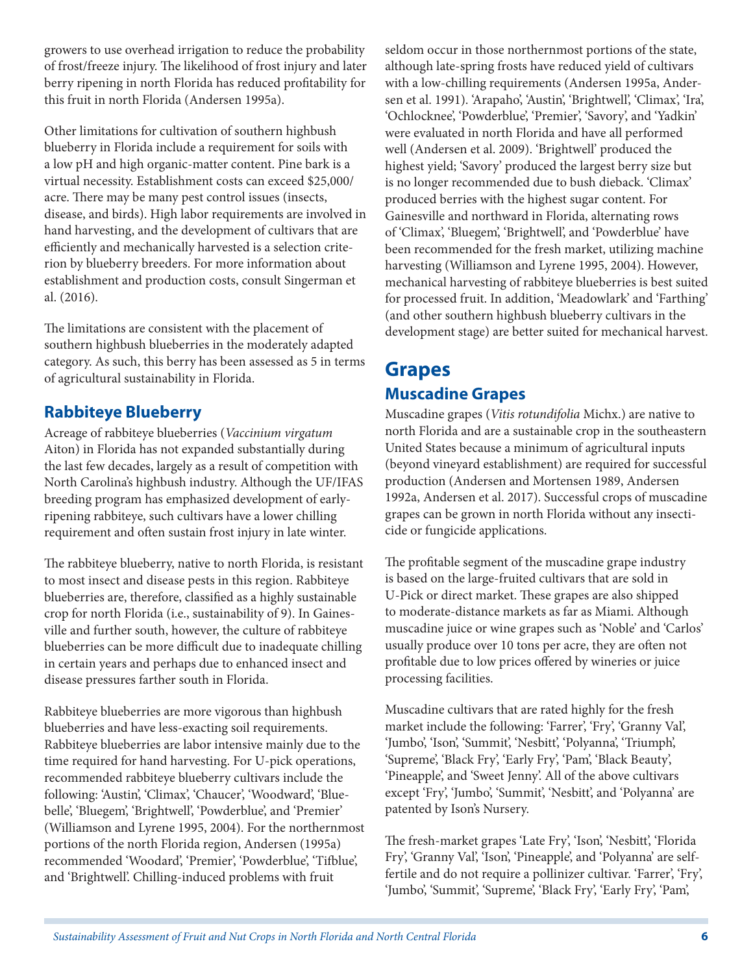growers to use overhead irrigation to reduce the probability of frost/freeze injury. The likelihood of frost injury and later berry ripening in north Florida has reduced profitability for this fruit in north Florida (Andersen 1995a).

Other limitations for cultivation of southern highbush blueberry in Florida include a requirement for soils with a low pH and high organic-matter content. Pine bark is a virtual necessity. Establishment costs can exceed \$25,000/ acre. There may be many pest control issues (insects, disease, and birds). High labor requirements are involved in hand harvesting, and the development of cultivars that are efficiently and mechanically harvested is a selection criterion by blueberry breeders. For more information about establishment and production costs, consult Singerman et al. (2016).

The limitations are consistent with the placement of southern highbush blueberries in the moderately adapted category. As such, this berry has been assessed as 5 in terms of agricultural sustainability in Florida.

#### **Rabbiteye Blueberry**

Acreage of rabbiteye blueberries (*Vaccinium virgatum*  Aiton) in Florida has not expanded substantially during the last few decades, largely as a result of competition with North Carolina's highbush industry. Although the UF/IFAS breeding program has emphasized development of earlyripening rabbiteye, such cultivars have a lower chilling requirement and often sustain frost injury in late winter.

The rabbiteye blueberry, native to north Florida, is resistant to most insect and disease pests in this region. Rabbiteye blueberries are, therefore, classified as a highly sustainable crop for north Florida (i.e., sustainability of 9). In Gainesville and further south, however, the culture of rabbiteye blueberries can be more difficult due to inadequate chilling in certain years and perhaps due to enhanced insect and disease pressures farther south in Florida.

Rabbiteye blueberries are more vigorous than highbush blueberries and have less-exacting soil requirements. Rabbiteye blueberries are labor intensive mainly due to the time required for hand harvesting. For U-pick operations, recommended rabbiteye blueberry cultivars include the following: 'Austin', 'Climax', 'Chaucer', 'Woodward', 'Bluebelle', 'Bluegem', 'Brightwell', 'Powderblue', and 'Premier' (Williamson and Lyrene 1995, 2004). For the northernmost portions of the north Florida region, Andersen (1995a) recommended 'Woodard', 'Premier', 'Powderblue', 'Tifblue', and 'Brightwell'. Chilling-induced problems with fruit

seldom occur in those northernmost portions of the state, although late-spring frosts have reduced yield of cultivars with a low-chilling requirements (Andersen 1995a, Andersen et al. 1991). 'Arapaho', 'Austin', 'Brightwell', 'Climax', 'Ira', 'Ochlocknee', 'Powderblue', 'Premier', 'Savory', and 'Yadkin' were evaluated in north Florida and have all performed well (Andersen et al. 2009). 'Brightwell' produced the highest yield; 'Savory' produced the largest berry size but is no longer recommended due to bush dieback. 'Climax' produced berries with the highest sugar content. For Gainesville and northward in Florida, alternating rows of 'Climax', 'Bluegem', 'Brightwell', and 'Powderblue' have been recommended for the fresh market, utilizing machine harvesting (Williamson and Lyrene 1995, 2004). However, mechanical harvesting of rabbiteye blueberries is best suited for processed fruit. In addition, 'Meadowlark' and 'Farthing' (and other southern highbush blueberry cultivars in the development stage) are better suited for mechanical harvest.

#### **Grapes Muscadine Grapes**

Muscadine grapes (*Vitis rotundifolia* Michx.) are native to north Florida and are a sustainable crop in the southeastern United States because a minimum of agricultural inputs (beyond vineyard establishment) are required for successful production (Andersen and Mortensen 1989, Andersen 1992a, Andersen et al. 2017). Successful crops of muscadine grapes can be grown in north Florida without any insecticide or fungicide applications.

The profitable segment of the muscadine grape industry is based on the large-fruited cultivars that are sold in U-Pick or direct market. These grapes are also shipped to moderate-distance markets as far as Miami. Although muscadine juice or wine grapes such as 'Noble' and 'Carlos' usually produce over 10 tons per acre, they are often not profitable due to low prices offered by wineries or juice processing facilities.

Muscadine cultivars that are rated highly for the fresh market include the following: 'Farrer', 'Fry', 'Granny Val', 'Jumbo', 'Ison', 'Summit', 'Nesbitt', 'Polyanna', 'Triumph', 'Supreme', 'Black Fry', 'Early Fry', 'Pam', 'Black Beauty', 'Pineapple', and 'Sweet Jenny'. All of the above cultivars except 'Fry', 'Jumbo', 'Summit', 'Nesbitt', and 'Polyanna' are patented by Ison's Nursery.

The fresh-market grapes 'Late Fry', 'Ison', 'Nesbitt', 'Florida Fry', 'Granny Val', 'Ison', 'Pineapple', and 'Polyanna' are selffertile and do not require a pollinizer cultivar. 'Farrer', 'Fry', 'Jumbo', 'Summit', 'Supreme', 'Black Fry', 'Early Fry', 'Pam',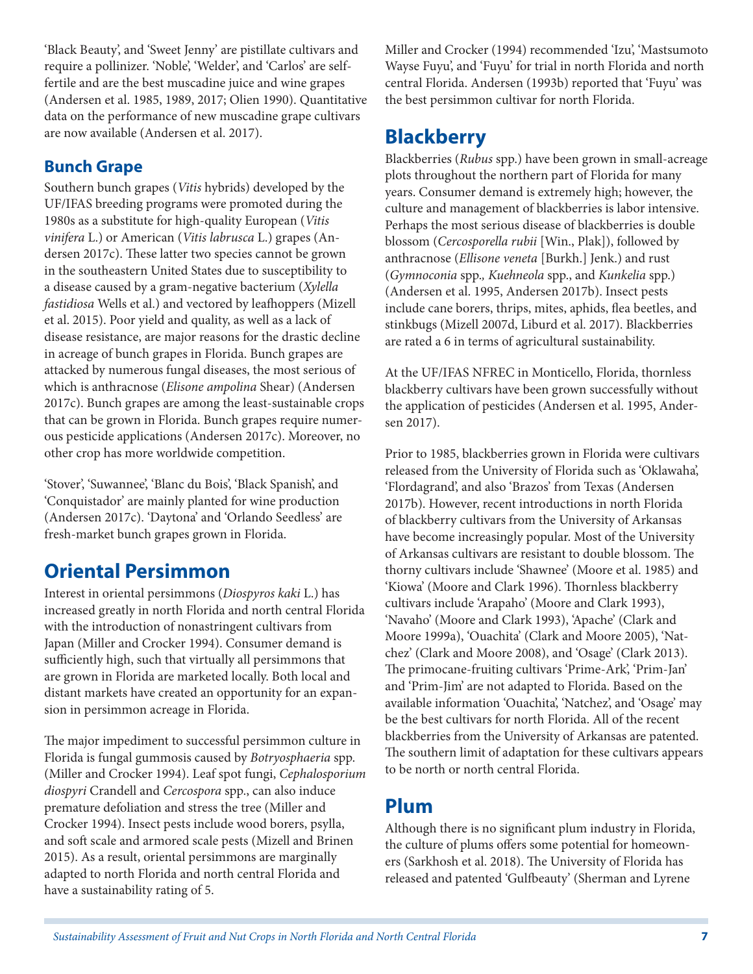'Black Beauty', and 'Sweet Jenny' are pistillate cultivars and require a pollinizer. 'Noble', 'Welder', and 'Carlos' are selffertile and are the best muscadine juice and wine grapes (Andersen et al. 1985, 1989, 2017; Olien 1990). Quantitative data on the performance of new muscadine grape cultivars are now available (Andersen et al. 2017).

#### **Bunch Grape**

Southern bunch grapes (*Vitis* hybrids) developed by the UF/IFAS breeding programs were promoted during the 1980s as a substitute for high-quality European (*Vitis vinifera* L.) or American (*Vitis labrusca* L.) grapes (Andersen 2017c). These latter two species cannot be grown in the southeastern United States due to susceptibility to a disease caused by a gram-negative bacterium (*Xylella fastidiosa* Wells et al.) and vectored by leafhoppers (Mizell et al. 2015). Poor yield and quality, as well as a lack of disease resistance, are major reasons for the drastic decline in acreage of bunch grapes in Florida. Bunch grapes are attacked by numerous fungal diseases, the most serious of which is anthracnose (*Elisone ampolina* Shear) (Andersen 2017c). Bunch grapes are among the least-sustainable crops that can be grown in Florida. Bunch grapes require numerous pesticide applications (Andersen 2017c). Moreover, no other crop has more worldwide competition.

'Stover', 'Suwannee', 'Blanc du Bois', 'Black Spanish', and 'Conquistador' are mainly planted for wine production (Andersen 2017c). 'Daytona' and 'Orlando Seedless' are fresh-market bunch grapes grown in Florida.

# **Oriental Persimmon**

Interest in oriental persimmons (*Diospyros kaki* L.) has increased greatly in north Florida and north central Florida with the introduction of nonastringent cultivars from Japan (Miller and Crocker 1994). Consumer demand is sufficiently high, such that virtually all persimmons that are grown in Florida are marketed locally. Both local and distant markets have created an opportunity for an expansion in persimmon acreage in Florida.

The major impediment to successful persimmon culture in Florida is fungal gummosis caused by *Botryosphaeria* spp. (Miller and Crocker 1994). Leaf spot fungi, *Cephalosporium diospyri* Crandell and *Cercospora* spp., can also induce premature defoliation and stress the tree (Miller and Crocker 1994). Insect pests include wood borers, psylla, and soft scale and armored scale pests (Mizell and Brinen 2015). As a result, oriental persimmons are marginally adapted to north Florida and north central Florida and have a sustainability rating of 5.

Miller and Crocker (1994) recommended 'Izu', 'Mastsumoto Wayse Fuyu', and 'Fuyu' for trial in north Florida and north central Florida. Andersen (1993b) reported that 'Fuyu' was the best persimmon cultivar for north Florida.

# **Blackberry**

Blackberries (*Rubus* spp.) have been grown in small-acreage plots throughout the northern part of Florida for many years. Consumer demand is extremely high; however, the culture and management of blackberries is labor intensive. Perhaps the most serious disease of blackberries is double blossom (*Cercosporella rubii* [Win., Plak]), followed by anthracnose (*Ellisone veneta* [Burkh.] Jenk.) and rust (*Gymnoconia* spp.*, Kuehneola* spp., and *Kunkelia* spp.) (Andersen et al. 1995, Andersen 2017b). Insect pests include cane borers, thrips, mites, aphids, flea beetles, and stinkbugs (Mizell 2007d, Liburd et al. 2017). Blackberries are rated a 6 in terms of agricultural sustainability.

At the UF/IFAS NFREC in Monticello, Florida, thornless blackberry cultivars have been grown successfully without the application of pesticides (Andersen et al. 1995, Andersen 2017).

Prior to 1985, blackberries grown in Florida were cultivars released from the University of Florida such as 'Oklawaha', 'Flordagrand', and also 'Brazos' from Texas (Andersen 2017b). However, recent introductions in north Florida of blackberry cultivars from the University of Arkansas have become increasingly popular. Most of the University of Arkansas cultivars are resistant to double blossom. The thorny cultivars include 'Shawnee' (Moore et al. 1985) and 'Kiowa' (Moore and Clark 1996). Thornless blackberry cultivars include 'Arapaho' (Moore and Clark 1993), 'Navaho' (Moore and Clark 1993), 'Apache' (Clark and Moore 1999a), 'Ouachita' (Clark and Moore 2005), 'Natchez' (Clark and Moore 2008), and 'Osage' (Clark 2013). The primocane-fruiting cultivars 'Prime-Ark', 'Prim-Jan' and 'Prim-Jim' are not adapted to Florida. Based on the available information 'Ouachita', 'Natchez', and 'Osage' may be the best cultivars for north Florida. All of the recent blackberries from the University of Arkansas are patented. The southern limit of adaptation for these cultivars appears to be north or north central Florida.

#### **Plum**

Although there is no significant plum industry in Florida, the culture of plums offers some potential for homeowners (Sarkhosh et al. 2018). The University of Florida has released and patented 'Gulfbeauty' (Sherman and Lyrene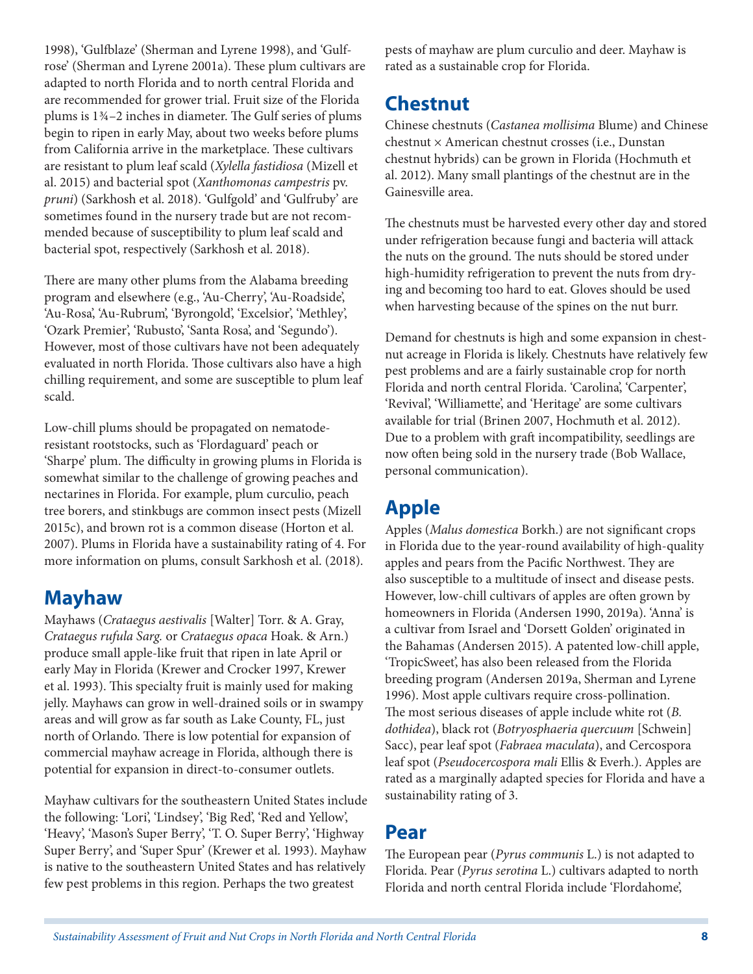1998), 'Gulfblaze' (Sherman and Lyrene 1998), and 'Gulfrose' (Sherman and Lyrene 2001a). These plum cultivars are adapted to north Florida and to north central Florida and are recommended for grower trial. Fruit size of the Florida plums is 13/4–2 inches in diameter. The Gulf series of plums begin to ripen in early May, about two weeks before plums from California arrive in the marketplace. These cultivars are resistant to plum leaf scald (*Xylella fastidiosa* (Mizell et al. 2015) and bacterial spot (*Xanthomonas campestris* pv. *pruni*) (Sarkhosh et al. 2018). 'Gulfgold' and 'Gulfruby' are sometimes found in the nursery trade but are not recommended because of susceptibility to plum leaf scald and bacterial spot, respectively (Sarkhosh et al. 2018).

There are many other plums from the Alabama breeding program and elsewhere (e.g., 'Au-Cherry', 'Au-Roadside', 'Au-Rosa', 'Au-Rubrum', 'Byrongold', 'Excelsior', 'Methley', 'Ozark Premier', 'Rubusto', 'Santa Rosa', and 'Segundo'). However, most of those cultivars have not been adequately evaluated in north Florida. Those cultivars also have a high chilling requirement, and some are susceptible to plum leaf scald.

Low-chill plums should be propagated on nematoderesistant rootstocks, such as 'Flordaguard' peach or 'Sharpe' plum. The difficulty in growing plums in Florida is somewhat similar to the challenge of growing peaches and nectarines in Florida. For example, plum curculio, peach tree borers, and stinkbugs are common insect pests (Mizell 2015c), and brown rot is a common disease (Horton et al. 2007). Plums in Florida have a sustainability rating of 4. For more information on plums, consult Sarkhosh et al. (2018).

#### **Mayhaw**

Mayhaws (*Crataegus aestivalis* [Walter] Torr. & A. Gray, *Crataegus rufula Sarg.* or *Crataegus opaca* Hoak. & Arn.) produce small apple-like fruit that ripen in late April or early May in Florida (Krewer and Crocker 1997, Krewer et al. 1993). This specialty fruit is mainly used for making jelly. Mayhaws can grow in well-drained soils or in swampy areas and will grow as far south as Lake County, FL, just north of Orlando. There is low potential for expansion of commercial mayhaw acreage in Florida, although there is potential for expansion in direct-to-consumer outlets.

Mayhaw cultivars for the southeastern United States include the following: 'Lori', 'Lindsey', 'Big Red', 'Red and Yellow', 'Heavy', 'Mason's Super Berry', 'T. O. Super Berry', 'Highway Super Berry', and 'Super Spur' (Krewer et al. 1993). Mayhaw is native to the southeastern United States and has relatively few pest problems in this region. Perhaps the two greatest

pests of mayhaw are plum curculio and deer. Mayhaw is rated as a sustainable crop for Florida.

### **Chestnut**

Chinese chestnuts (*Castanea mollisima* Blume) and Chinese chestnut × American chestnut crosses (i.e., Dunstan chestnut hybrids) can be grown in Florida (Hochmuth et al. 2012). Many small plantings of the chestnut are in the Gainesville area.

The chestnuts must be harvested every other day and stored under refrigeration because fungi and bacteria will attack the nuts on the ground. The nuts should be stored under high-humidity refrigeration to prevent the nuts from drying and becoming too hard to eat. Gloves should be used when harvesting because of the spines on the nut burr.

Demand for chestnuts is high and some expansion in chestnut acreage in Florida is likely. Chestnuts have relatively few pest problems and are a fairly sustainable crop for north Florida and north central Florida. 'Carolina', 'Carpenter', 'Revival', 'Williamette', and 'Heritage' are some cultivars available for trial (Brinen 2007, Hochmuth et al. 2012). Due to a problem with graft incompatibility, seedlings are now often being sold in the nursery trade (Bob Wallace, personal communication).

# **Apple**

Apples (*Malus domestica* Borkh.) are not significant crops in Florida due to the year-round availability of high-quality apples and pears from the Pacific Northwest. They are also susceptible to a multitude of insect and disease pests. However, low-chill cultivars of apples are often grown by homeowners in Florida (Andersen 1990, 2019a). 'Anna' is a cultivar from Israel and 'Dorsett Golden' originated in the Bahamas (Andersen 2015). A patented low-chill apple, 'TropicSweet', has also been released from the Florida breeding program (Andersen 2019a, Sherman and Lyrene 1996). Most apple cultivars require cross-pollination. The most serious diseases of apple include white rot (*B. dothidea*), black rot (*Botryosphaeria quercuum* [Schwein] Sacc), pear leaf spot (*Fabraea maculata*), and Cercospora leaf spot (*Pseudocercospora mali* Ellis & Everh.). Apples are rated as a marginally adapted species for Florida and have a sustainability rating of 3.

#### **Pear**

The European pear (*Pyrus communis* L.) is not adapted to Florida. Pear (*Pyrus serotina* L.) cultivars adapted to north Florida and north central Florida include 'Flordahome',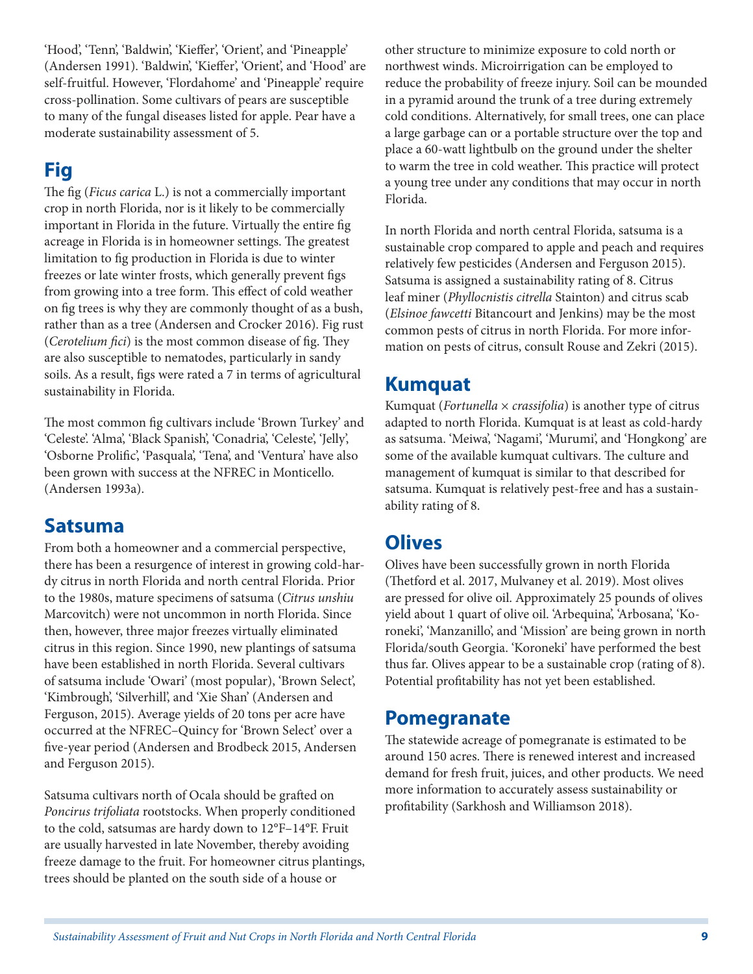'Hood', 'Tenn', 'Baldwin', 'Kieffer', 'Orient', and 'Pineapple' (Andersen 1991). 'Baldwin', 'Kieffer', 'Orient', and 'Hood' are self-fruitful. However, 'Flordahome' and 'Pineapple' require cross-pollination. Some cultivars of pears are susceptible to many of the fungal diseases listed for apple. Pear have a moderate sustainability assessment of 5.

# **Fig**

The fig (*Ficus carica* L.) is not a commercially important crop in north Florida, nor is it likely to be commercially important in Florida in the future. Virtually the entire fig acreage in Florida is in homeowner settings. The greatest limitation to fig production in Florida is due to winter freezes or late winter frosts, which generally prevent figs from growing into a tree form. This effect of cold weather on fig trees is why they are commonly thought of as a bush, rather than as a tree (Andersen and Crocker 2016). Fig rust (*Cerotelium fici*) is the most common disease of fig. They are also susceptible to nematodes, particularly in sandy soils. As a result, figs were rated a 7 in terms of agricultural sustainability in Florida.

The most common fig cultivars include 'Brown Turkey' and 'Celeste'. 'Alma', 'Black Spanish', 'Conadria', 'Celeste', 'Jelly', 'Osborne Prolific', 'Pasquala', 'Tena', and 'Ventura' have also been grown with success at the NFREC in Monticello. (Andersen 1993a).

#### **Satsuma**

From both a homeowner and a commercial perspective, there has been a resurgence of interest in growing cold-hardy citrus in north Florida and north central Florida. Prior to the 1980s, mature specimens of satsuma (*Citrus unshiu*  Marcovitch) were not uncommon in north Florida. Since then, however, three major freezes virtually eliminated citrus in this region. Since 1990, new plantings of satsuma have been established in north Florida. Several cultivars of satsuma include 'Owari' (most popular), 'Brown Select', 'Kimbrough', 'Silverhill', and 'Xie Shan' (Andersen and Ferguson, 2015). Average yields of 20 tons per acre have occurred at the NFREC–Quincy for 'Brown Select' over a five-year period (Andersen and Brodbeck 2015, Andersen and Ferguson 2015).

Satsuma cultivars north of Ocala should be grafted on *Poncirus trifoliata* rootstocks. When properly conditioned to the cold, satsumas are hardy down to 12°F–14°F. Fruit are usually harvested in late November, thereby avoiding freeze damage to the fruit. For homeowner citrus plantings, trees should be planted on the south side of a house or

other structure to minimize exposure to cold north or northwest winds. Microirrigation can be employed to reduce the probability of freeze injury. Soil can be mounded in a pyramid around the trunk of a tree during extremely cold conditions. Alternatively, for small trees, one can place a large garbage can or a portable structure over the top and place a 60-watt lightbulb on the ground under the shelter to warm the tree in cold weather. This practice will protect a young tree under any conditions that may occur in north Florida.

In north Florida and north central Florida, satsuma is a sustainable crop compared to apple and peach and requires relatively few pesticides (Andersen and Ferguson 2015). Satsuma is assigned a sustainability rating of 8. Citrus leaf miner (*Phyllocnistis citrella* Stainton) and citrus scab (*Elsinoe fawcetti* Bitancourt and Jenkins) may be the most common pests of citrus in north Florida. For more information on pests of citrus, consult Rouse and Zekri (2015).

#### **Kumquat**

Kumquat (*Fortunella* × *crassifolia*) is another type of citrus adapted to north Florida. Kumquat is at least as cold-hardy as satsuma. 'Meiwa', 'Nagami', 'Murumi', and 'Hongkong' are some of the available kumquat cultivars. The culture and management of kumquat is similar to that described for satsuma. Kumquat is relatively pest-free and has a sustainability rating of 8.

#### **Olives**

Olives have been successfully grown in north Florida (Thetford et al. 2017, Mulvaney et al. 2019). Most olives are pressed for olive oil. Approximately 25 pounds of olives yield about 1 quart of olive oil. 'Arbequina', 'Arbosana', 'Koroneki', 'Manzanillo', and 'Mission' are being grown in north Florida/south Georgia. 'Koroneki' have performed the best thus far. Olives appear to be a sustainable crop (rating of 8). Potential profitability has not yet been established.

#### **Pomegranate**

The statewide acreage of pomegranate is estimated to be around 150 acres. There is renewed interest and increased demand for fresh fruit, juices, and other products. We need more information to accurately assess sustainability or profitability (Sarkhosh and Williamson 2018).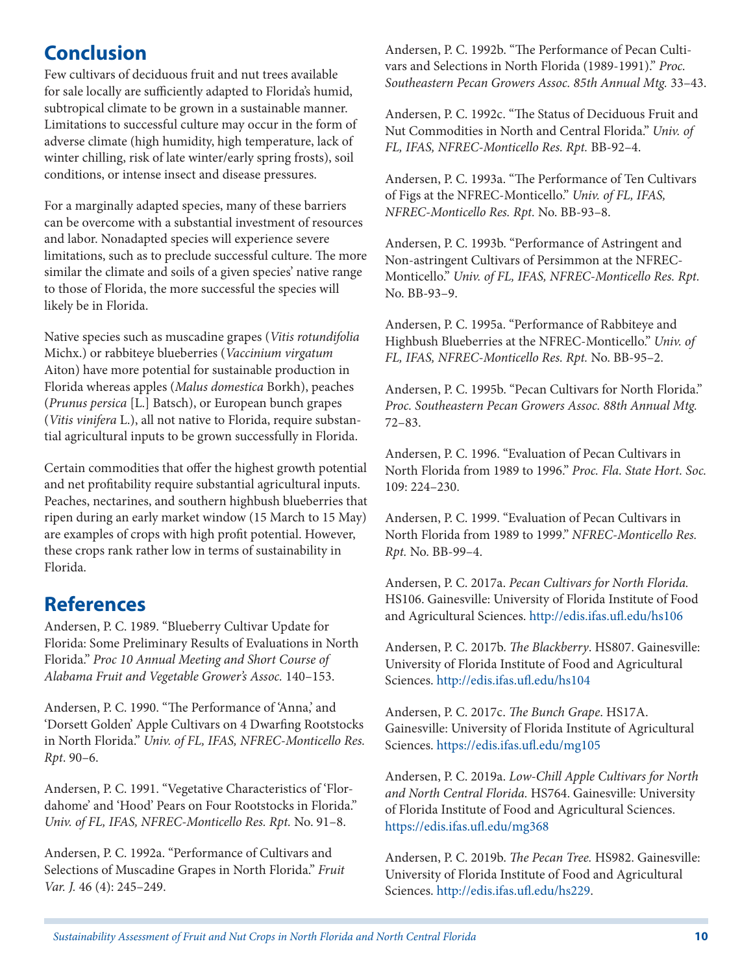# **Conclusion**

Few cultivars of deciduous fruit and nut trees available for sale locally are sufficiently adapted to Florida's humid, subtropical climate to be grown in a sustainable manner. Limitations to successful culture may occur in the form of adverse climate (high humidity, high temperature, lack of winter chilling, risk of late winter/early spring frosts), soil conditions, or intense insect and disease pressures.

For a marginally adapted species, many of these barriers can be overcome with a substantial investment of resources and labor. Nonadapted species will experience severe limitations, such as to preclude successful culture. The more similar the climate and soils of a given species' native range to those of Florida, the more successful the species will likely be in Florida.

Native species such as muscadine grapes (*Vitis rotundifolia*  Michx.) or rabbiteye blueberries (*Vaccinium virgatum*  Aiton) have more potential for sustainable production in Florida whereas apples (*Malus domestica* Borkh), peaches (*Prunus persica* [L.] Batsch), or European bunch grapes (*Vitis vinifera* L.), all not native to Florida, require substantial agricultural inputs to be grown successfully in Florida.

Certain commodities that offer the highest growth potential and net profitability require substantial agricultural inputs. Peaches, nectarines, and southern highbush blueberries that ripen during an early market window (15 March to 15 May) are examples of crops with high profit potential. However, these crops rank rather low in terms of sustainability in Florida.

#### **References**

Andersen, P. C. 1989. "Blueberry Cultivar Update for Florida: Some Preliminary Results of Evaluations in North Florida." *Proc 10 Annual Meeting and Short Course of Alabama Fruit and Vegetable Grower's Assoc.* 140–153.

Andersen, P. C. 1990. "The Performance of 'Anna,' and 'Dorsett Golden' Apple Cultivars on 4 Dwarfing Rootstocks in North Florida." *Univ. of FL, IFAS, NFREC-Monticello Res. Rpt*. 90–6.

Andersen, P. C. 1991. "Vegetative Characteristics of 'Flordahome' and 'Hood' Pears on Four Rootstocks in Florida." *Univ. of FL, IFAS, NFREC-Monticello Res. Rpt.* No. 91–8.

Andersen, P. C. 1992a. "Performance of Cultivars and Selections of Muscadine Grapes in North Florida." *Fruit Var. J.* 46 (4): 245–249.

Andersen, P. C. 1992b. "The Performance of Pecan Cultivars and Selections in North Florida (1989-1991)." *Proc. Southeastern Pecan Growers Assoc. 85th Annual Mtg.* 33–43.

Andersen, P. C. 1992c. "The Status of Deciduous Fruit and Nut Commodities in North and Central Florida." *Univ. of FL, IFAS, NFREC-Monticello Res. Rpt.* BB-92–4.

Andersen, P. C. 1993a. "The Performance of Ten Cultivars of Figs at the NFREC-Monticello." *Univ. of FL, IFAS, NFREC-Monticello Res. Rpt.* No. BB-93–8.

Andersen, P. C. 1993b. "Performance of Astringent and Non-astringent Cultivars of Persimmon at the NFREC-Monticello." *Univ. of FL, IFAS, NFREC-Monticello Res. Rpt.*  No. BB-93–9.

Andersen, P. C. 1995a. "Performance of Rabbiteye and Highbush Blueberries at the NFREC-Monticello." *Univ. of FL, IFAS, NFREC-Monticello Res. Rpt.* No. BB-95–2.

Andersen, P. C. 1995b. "Pecan Cultivars for North Florida." *Proc. Southeastern Pecan Growers Assoc. 88th Annual Mtg.*  72–83.

Andersen, P. C. 1996. "Evaluation of Pecan Cultivars in North Florida from 1989 to 1996." *Proc. Fla. State Hort. Soc.*  109: 224–230.

Andersen, P. C. 1999. "Evaluation of Pecan Cultivars in North Florida from 1989 to 1999." *NFREC-Monticello Res. Rpt.* No. BB-99–4.

Andersen, P. C. 2017a. *Pecan Cultivars for North Florida.*  HS106. Gainesville: University of Florida Institute of Food and Agricultural Sciences. <http://edis.ifas.ufl.edu/hs106>

Andersen, P. C. 2017b. *The Blackberry*. HS807. Gainesville: University of Florida Institute of Food and Agricultural Sciences.<http://edis.ifas.ufl.edu/hs104>

Andersen, P. C. 2017c. *The Bunch Grape*. HS17A. Gainesville: University of Florida Institute of Agricultural Sciences.<https://edis.ifas.ufl.edu/mg105>

Andersen, P. C. 2019a. *Low-Chill Apple Cultivars for North and North Central Florida.* HS764. Gainesville: University of Florida Institute of Food and Agricultural Sciences. <https://edis.ifas.ufl.edu/mg368>

Andersen, P. C. 2019b. *The Pecan Tree.* HS982. Gainesville: University of Florida Institute of Food and Agricultural Sciences.<http://edis.ifas.ufl.edu/hs229>.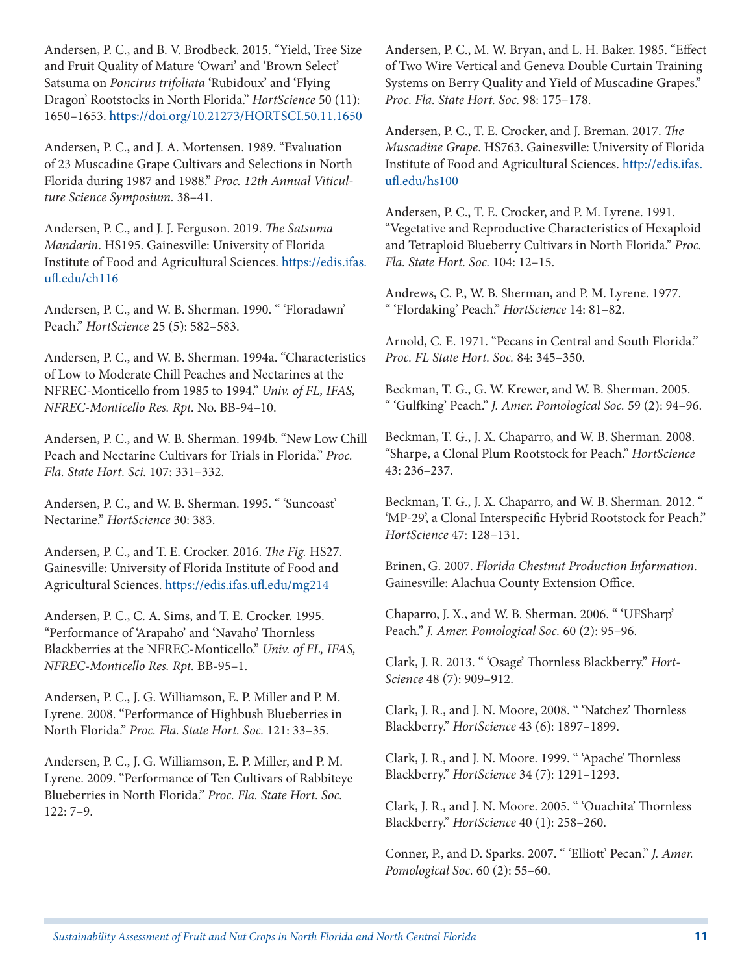Andersen, P. C., and B. V. Brodbeck. 2015. "Yield, Tree Size and Fruit Quality of Mature 'Owari' and 'Brown Select' Satsuma on *Poncirus trifoliata* 'Rubidoux' and 'Flying Dragon' Rootstocks in North Florida." *HortScience* 50 (11): 1650–1653. <https://doi.org/10.21273/HORTSCI.50.11.1650>

Andersen, P. C., and J. A. Mortensen. 1989. "Evaluation of 23 Muscadine Grape Cultivars and Selections in North Florida during 1987 and 1988." *Proc. 12th Annual Viticulture Science Symposium.* 38–41.

Andersen, P. C., and J. J. Ferguson. 2019. *The Satsuma Mandarin*. HS195. Gainesville: University of Florida Institute of Food and Agricultural Sciences. [https://edis.ifas.](https://edis.ifas.ufl.edu/ch116) [ufl.edu/ch116](https://edis.ifas.ufl.edu/ch116)

Andersen, P. C., and W. B. Sherman. 1990. " 'Floradawn' Peach." *HortScience* 25 (5): 582–583.

Andersen, P. C., and W. B. Sherman. 1994a. "Characteristics of Low to Moderate Chill Peaches and Nectarines at the NFREC-Monticello from 1985 to 1994." *Univ. of FL, IFAS, NFREC-Monticello Res. Rpt.* No. BB-94–10.

Andersen, P. C., and W. B. Sherman. 1994b. "New Low Chill Peach and Nectarine Cultivars for Trials in Florida." *Proc. Fla. State Hort. Sci.* 107: 331–332.

Andersen, P. C., and W. B. Sherman. 1995. " 'Suncoast' Nectarine." *HortScience* 30: 383.

Andersen, P. C., and T. E. Crocker. 2016. *The Fig.* HS27. Gainesville: University of Florida Institute of Food and Agricultural Sciences.<https://edis.ifas.ufl.edu/mg214>

Andersen, P. C., C. A. Sims, and T. E. Crocker. 1995. "Performance of 'Arapaho' and 'Navaho' Thornless Blackberries at the NFREC-Monticello." *Univ. of FL, IFAS, NFREC-Monticello Res. Rpt.* BB-95–1.

Andersen, P. C., J. G. Williamson, E. P. Miller and P. M. Lyrene. 2008. "Performance of Highbush Blueberries in North Florida." *Proc. Fla. State Hort. Soc.* 121: 33–35.

Andersen, P. C., J. G. Williamson, E. P. Miller, and P. M. Lyrene. 2009. "Performance of Ten Cultivars of Rabbiteye Blueberries in North Florida." *Proc. Fla. State Hort. Soc.*  122: 7–9.

Andersen, P. C., M. W. Bryan, and L. H. Baker. 1985. "Effect of Two Wire Vertical and Geneva Double Curtain Training Systems on Berry Quality and Yield of Muscadine Grapes." *Proc. Fla. State Hort. Soc.* 98: 175–178.

Andersen, P. C., T. E. Crocker, and J. Breman. 2017. *The Muscadine Grape*. HS763. Gainesville: University of Florida Institute of Food and Agricultural Sciences. [http://edis.ifas.](http://edis.ifas.ufl.edu/hs100) [ufl.edu/hs100](http://edis.ifas.ufl.edu/hs100)

Andersen, P. C., T. E. Crocker, and P. M. Lyrene. 1991. "Vegetative and Reproductive Characteristics of Hexaploid and Tetraploid Blueberry Cultivars in North Florida." *Proc. Fla. State Hort. Soc.* 104: 12–15.

Andrews, C. P., W. B. Sherman, and P. M. Lyrene. 1977. " 'Flordaking' Peach." *HortScience* 14: 81–82.

Arnold, C. E. 1971. "Pecans in Central and South Florida." *Proc. FL State Hort. Soc.* 84: 345–350.

Beckman, T. G., G. W. Krewer, and W. B. Sherman. 2005. " 'Gulfking' Peach." *J. Amer. Pomological Soc.* 59 (2): 94–96.

Beckman, T. G., J. X. Chaparro, and W. B. Sherman. 2008. "Sharpe, a Clonal Plum Rootstock for Peach." *HortScience*  43: 236–237.

Beckman, T. G., J. X. Chaparro, and W. B. Sherman. 2012. " 'MP-29', a Clonal Interspecific Hybrid Rootstock for Peach." *HortScience* 47: 128–131.

Brinen, G. 2007. *Florida Chestnut Production Information*. Gainesville: Alachua County Extension Office.

Chaparro, J. X., and W. B. Sherman. 2006. " 'UFSharp' Peach." *J. Amer. Pomological Soc.* 60 (2): 95–96.

Clark, J. R. 2013. " 'Osage' Thornless Blackberry." *Hort-Science* 48 (7): 909–912.

Clark, J. R., and J. N. Moore, 2008. " 'Natchez' Thornless Blackberry." *HortScience* 43 (6): 1897–1899.

Clark, J. R., and J. N. Moore. 1999. " 'Apache' Thornless Blackberry." *HortScience* 34 (7): 1291–1293.

Clark, J. R., and J. N. Moore. 2005. " 'Ouachita' Thornless Blackberry." *HortScience* 40 (1): 258–260.

Conner, P., and D. Sparks. 2007. " 'Elliott' Pecan." *J. Amer. Pomological Soc.* 60 (2): 55–60.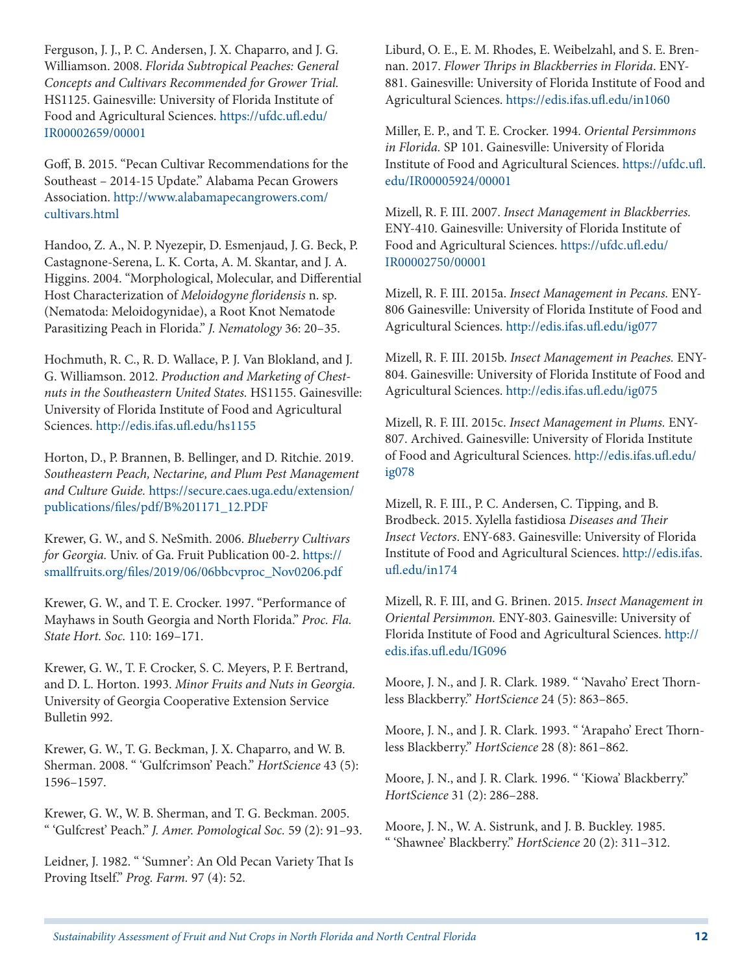Ferguson, J. J., P. C. Andersen, J. X. Chaparro, and J. G. Williamson. 2008. *Florida Subtropical Peaches: General Concepts and Cultivars Recommended for Grower Trial.*  HS1125. Gainesville: University of Florida Institute of Food and Agricultural Sciences. [https://ufdc.ufl.edu/](https://ufdc.ufl.edu/IR00002659/00001) [IR00002659/00001](https://ufdc.ufl.edu/IR00002659/00001)

Goff, B. 2015. "Pecan Cultivar Recommendations for the Southeast – 2014-15 Update." Alabama Pecan Growers Association. [http://www.alabamapecangrowers.com/](http://www.alabamapecangrowers.com/cultivars.html) [cultivars.html](http://www.alabamapecangrowers.com/cultivars.html)

Handoo, Z. A., N. P. Nyezepir, D. Esmenjaud, J. G. Beck, P. Castagnone-Serena, L. K. Corta, A. M. Skantar, and J. A. Higgins. 2004. "Morphological, Molecular, and Differential Host Characterization of *Meloidogyne floridensis* n. sp. (Nematoda: Meloidogynidae), a Root Knot Nematode Parasitizing Peach in Florida." *J. Nematology* 36: 20–35.

Hochmuth, R. C., R. D. Wallace, P. J. Van Blokland, and J. G. Williamson. 2012. *Production and Marketing of Chestnuts in the Southeastern United States.* HS1155. Gainesville: University of Florida Institute of Food and Agricultural Sciences. <http://edis.ifas.ufl.edu/hs1155>

Horton, D., P. Brannen, B. Bellinger, and D. Ritchie. 2019. *Southeastern Peach, Nectarine, and Plum Pest Management and Culture Guide.* [https://secure.caes.uga.edu/extension/](https://secure.caes.uga.edu/extension/publications/files/pdf/B%201171_12.PDF) [publications/files/pdf/B%201171\\_12.PDF](https://secure.caes.uga.edu/extension/publications/files/pdf/B%201171_12.PDF)

Krewer, G. W., and S. NeSmith. 2006. *Blueberry Cultivars for Georgia.* Univ. of Ga. Fruit Publication 00-2. [https://](https://smallfruits.org/files/2019/06/06bbcvproc_Nov0206.pdf) [smallfruits.org/files/2019/06/06bbcvproc\\_Nov0206.pdf](https://smallfruits.org/files/2019/06/06bbcvproc_Nov0206.pdf)

Krewer, G. W., and T. E. Crocker. 1997. "Performance of Mayhaws in South Georgia and North Florida." *Proc. Fla. State Hort. Soc.* 110: 169–171.

Krewer, G. W., T. F. Crocker, S. C. Meyers, P. F. Bertrand, and D. L. Horton. 1993. *Minor Fruits and Nuts in Georgia.*  University of Georgia Cooperative Extension Service Bulletin 992.

Krewer, G. W., T. G. Beckman, J. X. Chaparro, and W. B. Sherman. 2008. " 'Gulfcrimson' Peach." *HortScience* 43 (5): 1596–1597.

Krewer, G. W., W. B. Sherman, and T. G. Beckman. 2005. " 'Gulfcrest' Peach." *J. Amer. Pomological Soc.* 59 (2): 91–93.

Leidner, J. 1982. " 'Sumner': An Old Pecan Variety That Is Proving Itself." *Prog. Farm.* 97 (4): 52.

Liburd, O. E., E. M. Rhodes, E. Weibelzahl, and S. E. Brennan. 2017. *Flower Thrips in Blackberries in Florida*. ENY-881. Gainesville: University of Florida Institute of Food and Agricultural Sciences. <https://edis.ifas.ufl.edu/in1060>

Miller, E. P., and T. E. Crocker. 1994. *Oriental Persimmons in Florida.* SP 101. Gainesville: University of Florida Institute of Food and Agricultural Sciences. [https://ufdc.ufl.](https://ufdc.ufl.edu/IR00005924/00001) [edu/IR00005924/00001](https://ufdc.ufl.edu/IR00005924/00001)

Mizell, R. F. III. 2007. *Insect Management in Blackberries.*  ENY-410. Gainesville: University of Florida Institute of Food and Agricultural Sciences. [https://ufdc.ufl.edu/](https://ufdc.ufl.edu/IR00002750/00001) [IR00002750/00001](https://ufdc.ufl.edu/IR00002750/00001)

Mizell, R. F. III. 2015a. *Insect Management in Pecans.* ENY-806 Gainesville: University of Florida Institute of Food and Agricultural Sciences. <http://edis.ifas.ufl.edu/ig077>

Mizell, R. F. III. 2015b. *Insect Management in Peaches.* ENY-804. Gainesville: University of Florida Institute of Food and Agricultural Sciences. <http://edis.ifas.ufl.edu/ig075>

Mizell, R. F. III. 2015c. *Insect Management in Plums.* ENY-807. Archived. Gainesville: University of Florida Institute of Food and Agricultural Sciences. [http://edis.ifas.ufl.edu/](http://edis.ifas.ufl.edu/ig078) [ig078](http://edis.ifas.ufl.edu/ig078)

Mizell, R. F. III., P. C. Andersen, C. Tipping, and B. Brodbeck. 2015. Xylella fastidiosa *Diseases and Their Insect Vectors*. ENY-683. Gainesville: University of Florida Institute of Food and Agricultural Sciences. [http://edis.ifas.](http://edis.ifas.ufl.edu/in174) [ufl.edu/in174](http://edis.ifas.ufl.edu/in174)

Mizell, R. F. III, and G. Brinen. 2015. *Insect Management in Oriental Persimmon.* ENY-803. Gainesville: University of Florida Institute of Food and Agricultural Sciences. [http://](http://edis.ifas.ufl.edu/IG096) [edis.ifas.ufl.edu/IG096](http://edis.ifas.ufl.edu/IG096)

Moore, J. N., and J. R. Clark. 1989. " 'Navaho' Erect Thornless Blackberry." *HortScience* 24 (5): 863–865.

Moore, J. N., and J. R. Clark. 1993. " 'Arapaho' Erect Thornless Blackberry." *HortScience* 28 (8): 861–862.

Moore, J. N., and J. R. Clark. 1996. " 'Kiowa' Blackberry." *HortScience* 31 (2): 286–288.

Moore, J. N., W. A. Sistrunk, and J. B. Buckley. 1985. " 'Shawnee' Blackberry." *HortScience* 20 (2): 311–312.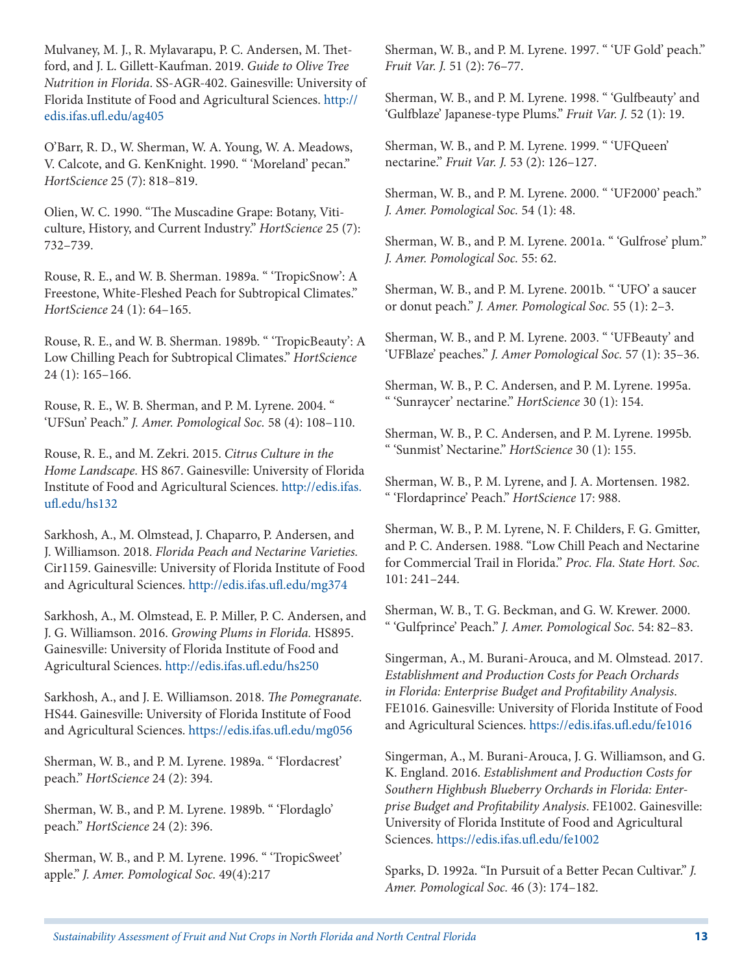Mulvaney, M. J., R. Mylavarapu, P. C. Andersen, M. Thetford, and J. L. Gillett-Kaufman. 2019. *Guide to Olive Tree Nutrition in Florida*. SS-AGR-402. Gainesville: University of Florida Institute of Food and Agricultural Sciences. [http://](http://edis.ifas.ufl.edu/ag405) [edis.ifas.ufl.edu/ag405](http://edis.ifas.ufl.edu/ag405)

O'Barr, R. D., W. Sherman, W. A. Young, W. A. Meadows, V. Calcote, and G. KenKnight. 1990. " 'Moreland' pecan." *HortScience* 25 (7): 818–819.

Olien, W. C. 1990. "The Muscadine Grape: Botany, Viticulture, History, and Current Industry." *HortScience* 25 (7): 732–739.

Rouse, R. E., and W. B. Sherman. 1989a. " 'TropicSnow': A Freestone, White-Fleshed Peach for Subtropical Climates." *HortScience* 24 (1): 64–165.

Rouse, R. E., and W. B. Sherman. 1989b. " 'TropicBeauty': A Low Chilling Peach for Subtropical Climates." *HortScience*  24 (1): 165–166.

Rouse, R. E., W. B. Sherman, and P. M. Lyrene. 2004. " 'UFSun' Peach." *J. Amer. Pomological Soc.* 58 (4): 108–110.

Rouse, R. E., and M. Zekri. 2015. *Citrus Culture in the Home Landscape.* HS 867. Gainesville: University of Florida Institute of Food and Agricultural Sciences. [http://edis.ifas.](http://edis.ifas.ufl.edu/hs132) [ufl.edu/hs132](http://edis.ifas.ufl.edu/hs132)

Sarkhosh, A., M. Olmstead, J. Chaparro, P. Andersen, and J. Williamson. 2018. *Florida Peach and Nectarine Varieties.*  Cir1159. Gainesville: University of Florida Institute of Food and Agricultural Sciences.<http://edis.ifas.ufl.edu/mg374>

Sarkhosh, A., M. Olmstead, E. P. Miller, P. C. Andersen, and J. G. Williamson. 2016. *Growing Plums in Florida.* HS895. Gainesville: University of Florida Institute of Food and Agricultural Sciences.<http://edis.ifas.ufl.edu/hs250>

Sarkhosh, A., and J. E. Williamson. 2018. *The Pomegranate*. HS44. Gainesville: University of Florida Institute of Food and Agricultural Sciences.<https://edis.ifas.ufl.edu/mg056>

Sherman, W. B., and P. M. Lyrene. 1989a. " 'Flordacrest' peach." *HortScience* 24 (2): 394.

Sherman, W. B., and P. M. Lyrene. 1989b. " 'Flordaglo' peach." *HortScience* 24 (2): 396.

Sherman, W. B., and P. M. Lyrene. 1996. " 'TropicSweet' apple." *J. Amer. Pomological Soc.* 49(4):217

Sherman, W. B., and P. M. Lyrene. 1997. " 'UF Gold' peach." *Fruit Var. J.* 51 (2): 76–77.

Sherman, W. B., and P. M. Lyrene. 1998. " 'Gulfbeauty' and 'Gulfblaze' Japanese-type Plums." *Fruit Var. J.* 52 (1): 19.

Sherman, W. B., and P. M. Lyrene. 1999. " 'UFQueen' nectarine." *Fruit Var. J.* 53 (2): 126–127.

Sherman, W. B., and P. M. Lyrene. 2000. " 'UF2000' peach." *J. Amer. Pomological Soc.* 54 (1): 48.

Sherman, W. B., and P. M. Lyrene. 2001a. " 'Gulfrose' plum." *J. Amer. Pomological Soc.* 55: 62.

Sherman, W. B., and P. M. Lyrene. 2001b. " 'UFO' a saucer or donut peach." *J. Amer. Pomological Soc.* 55 (1): 2–3.

Sherman, W. B., and P. M. Lyrene. 2003. " 'UFBeauty' and 'UFBlaze' peaches." *J. Amer Pomological Soc.* 57 (1): 35–36.

Sherman, W. B., P. C. Andersen, and P. M. Lyrene. 1995a. " 'Sunraycer' nectarine." *HortScience* 30 (1): 154.

Sherman, W. B., P. C. Andersen, and P. M. Lyrene. 1995b. " 'Sunmist' Nectarine." *HortScience* 30 (1): 155.

Sherman, W. B., P. M. Lyrene, and J. A. Mortensen. 1982. " 'Flordaprince' Peach." *HortScience* 17: 988.

Sherman, W. B., P. M. Lyrene, N. F. Childers, F. G. Gmitter, and P. C. Andersen. 1988. "Low Chill Peach and Nectarine for Commercial Trail in Florida." *Proc. Fla. State Hort. Soc.*  101: 241–244.

Sherman, W. B., T. G. Beckman, and G. W. Krewer. 2000. " 'Gulfprince' Peach." *J. Amer. Pomological Soc.* 54: 82–83.

Singerman, A., M. Burani-Arouca, and M. Olmstead. 2017. *Establishment and Production Costs for Peach Orchards in Florida: Enterprise Budget and Profitability Analysis*. FE1016. Gainesville: University of Florida Institute of Food and Agricultural Sciences. <https://edis.ifas.ufl.edu/fe1016>

Singerman, A., M. Burani-Arouca, J. G. Williamson, and G. K. England. 2016. *Establishment and Production Costs for Southern Highbush Blueberry Orchards in Florida: Enterprise Budget and Profitability Analysis*. FE1002. Gainesville: University of Florida Institute of Food and Agricultural Sciences.<https://edis.ifas.ufl.edu/fe1002>

Sparks, D. 1992a. "In Pursuit of a Better Pecan Cultivar." *J. Amer. Pomological Soc.* 46 (3): 174–182.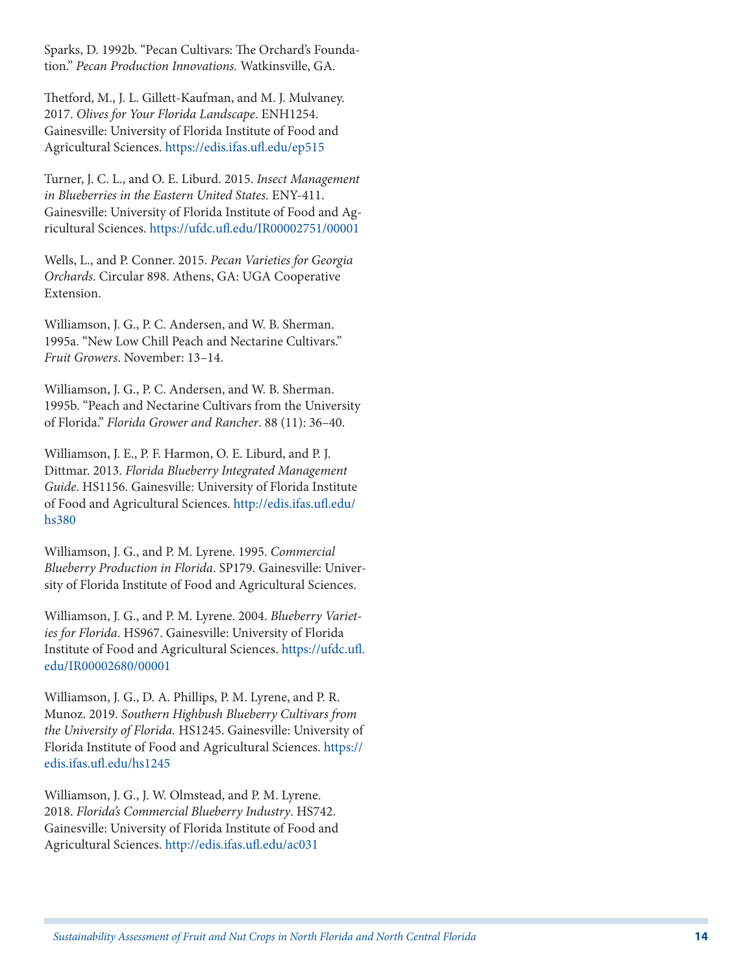Sparks, D. 1992b. "Pecan Cultivars: The Orchard's Foundation." *Pecan Production Innovations.* Watkinsville, GA.

Thetford, M., J. L. Gillett-Kaufman, and M. J. Mulvaney. 2017. *Olives for Your Florida Landscape*. ENH1254. Gainesville: University of Florida Institute of Food and Agricultural Sciences.<https://edis.ifas.ufl.edu/ep515>

Turner, J. C. L., and O. E. Liburd. 2015. *Insect Management in Blueberries in the Eastern United States.* ENY-411. Gainesville: University of Florida Institute of Food and Agricultural Sciences. <https://ufdc.ufl.edu/IR00002751/00001>

Wells, L., and P. Conner. 2015. *Pecan Varieties for Georgia Orchards*. Circular 898. Athens, GA: UGA Cooperative Extension.

Williamson, J. G., P. C. Andersen, and W. B. Sherman. 1995a. "New Low Chill Peach and Nectarine Cultivars." *Fruit Growers*. November: 13–14.

Williamson, J. G., P. C. Andersen, and W. B. Sherman. 1995b. "Peach and Nectarine Cultivars from the University of Florida." *Florida Grower and Rancher*. 88 (11): 36–40.

Williamson, J. E., P. F. Harmon, O. E. Liburd, and P. J. Dittmar. 2013. *Florida Blueberry Integrated Management Guide*. HS1156. Gainesville: University of Florida Institute of Food and Agricultural Sciences. [http://edis.ifas.ufl.edu/](http://edis.ifas.ufl.edu/hs380) [hs380](http://edis.ifas.ufl.edu/hs380)

Williamson, J. G., and P. M. Lyrene. 1995. *Commercial Blueberry Production in Florida*. SP179. Gainesville: University of Florida Institute of Food and Agricultural Sciences.

Williamson, J. G., and P. M. Lyrene. 2004. *Blueberry Varieties for Florida*. HS967. Gainesville: University of Florida Institute of Food and Agricultural Sciences. [https://ufdc.ufl.](https://ufdc.ufl.edu/IR00002680/00001) [edu/IR00002680/00001](https://ufdc.ufl.edu/IR00002680/00001)

Williamson, J. G., D. A. Phillips, P. M. Lyrene, and P. R. Munoz. 2019. *Southern Highbush Blueberry Cultivars from the University of Florida.* HS1245. Gainesville: University of Florida Institute of Food and Agricultural Sciences. [https://](https://edis.ifas.ufl.edu/hs1245) [edis.ifas.ufl.edu/hs1245](https://edis.ifas.ufl.edu/hs1245)

Williamson, J. G., J. W. Olmstead, and P. M. Lyrene. 2018. *Florida's Commercial Blueberry Industry*. HS742. Gainesville: University of Florida Institute of Food and Agricultural Sciences.<http://edis.ifas.ufl.edu/ac031>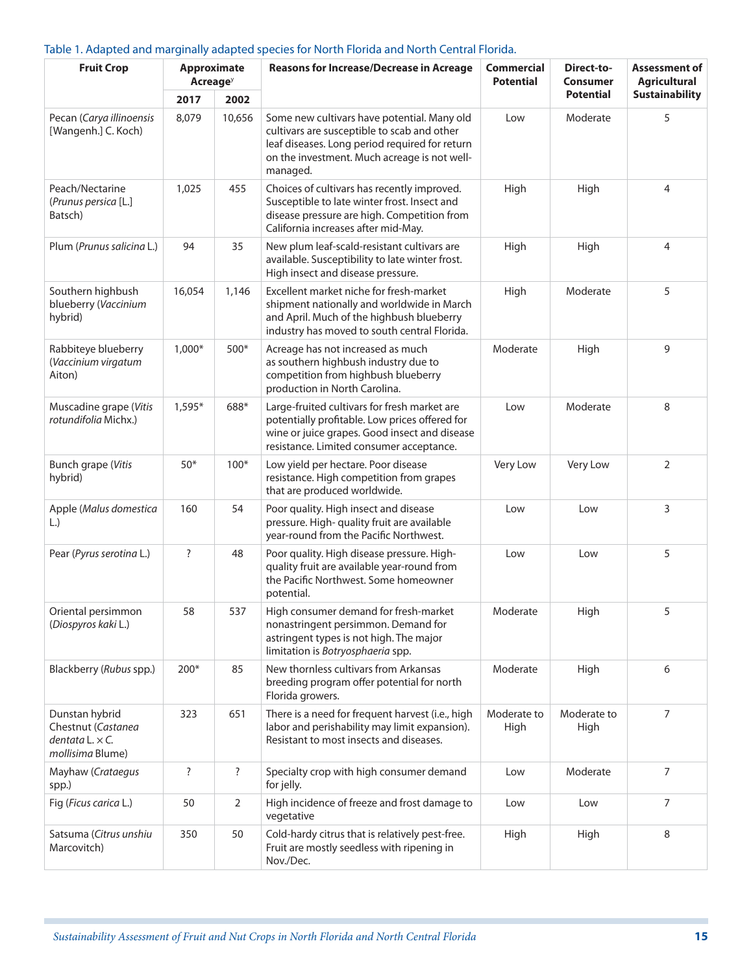#### Table 1. Adapted and marginally adapted species for North Florida and North Central Florida.

| <b>Fruit Crop</b>                                                                  | <b>Approximate</b><br><b>Acreage</b> <sup>y</sup> |        | <b>Reasons for Increase/Decrease in Acreage</b>                                                                                                                                                          | <b>Commercial</b><br><b>Potential</b> | Direct-to-<br>Consumer | Assessment of<br><b>Agricultural</b> |
|------------------------------------------------------------------------------------|---------------------------------------------------|--------|----------------------------------------------------------------------------------------------------------------------------------------------------------------------------------------------------------|---------------------------------------|------------------------|--------------------------------------|
|                                                                                    | 2017                                              | 2002   |                                                                                                                                                                                                          |                                       | <b>Potential</b>       | <b>Sustainability</b>                |
| Pecan (Carya illinoensis<br>[Wangenh.] C. Koch)                                    | 8,079                                             | 10,656 | Some new cultivars have potential. Many old<br>cultivars are susceptible to scab and other<br>leaf diseases. Long period required for return<br>on the investment. Much acreage is not well-<br>managed. | Low                                   | Moderate               | 5                                    |
| Peach/Nectarine<br>(Prunus persica [L.]<br>Batsch)                                 | 1,025                                             | 455    | Choices of cultivars has recently improved.<br>Susceptible to late winter frost. Insect and<br>disease pressure are high. Competition from<br>California increases after mid-May.                        | High                                  | High                   | 4                                    |
| Plum (Prunus salicina L.)                                                          | 94                                                | 35     | New plum leaf-scald-resistant cultivars are<br>available. Susceptibility to late winter frost.<br>High insect and disease pressure.                                                                      | High                                  | High                   | 4                                    |
| Southern highbush<br>blueberry (Vaccinium<br>hybrid)                               | 16,054                                            | 1,146  | Excellent market niche for fresh-market<br>shipment nationally and worldwide in March<br>and April. Much of the highbush blueberry<br>industry has moved to south central Florida.                       | High                                  | Moderate               | 5                                    |
| Rabbiteye blueberry<br>(Vaccinium virgatum<br>Aiton)                               | $1,000*$                                          | 500*   | Acreage has not increased as much<br>as southern highbush industry due to<br>competition from highbush blueberry<br>production in North Carolina.                                                        | Moderate                              | High                   | 9                                    |
| Muscadine grape (Vitis<br>rotundifolia Michx.)                                     | $1,595*$                                          | 688*   | Large-fruited cultivars for fresh market are<br>potentially profitable. Low prices offered for<br>wine or juice grapes. Good insect and disease<br>resistance. Limited consumer acceptance.              | Low                                   | Moderate               | 8                                    |
| <b>Bunch grape (Vitis</b><br>hybrid)                                               | $50*$                                             | $100*$ | Low yield per hectare. Poor disease<br>resistance. High competition from grapes<br>that are produced worldwide.                                                                                          | Very Low                              | Very Low               | 2                                    |
| Apple (Malus domestica<br>$\lfloor . \rfloor$                                      | 160                                               | 54     | Poor quality. High insect and disease<br>pressure. High- quality fruit are available<br>year-round from the Pacific Northwest.                                                                           | Low                                   | Low                    | 3                                    |
| Pear (Pyrus serotina L.)                                                           | ?                                                 | 48     | Poor quality. High disease pressure. High-<br>quality fruit are available year-round from<br>the Pacific Northwest. Some homeowner<br>potential.                                                         | Low                                   | Low                    | 5                                    |
| Oriental persimmon<br>(Diospyros kaki L.)                                          | 58                                                | 537    | High consumer demand for fresh-market<br>nonastringent persimmon. Demand for<br>astringent types is not high. The major<br>limitation is Botryosphaeria spp.                                             | Moderate                              | High                   | 5                                    |
| Blackberry (Rubus spp.)                                                            | 200*                                              | 85     | New thornless cultivars from Arkansas<br>breeding program offer potential for north<br>Florida growers.                                                                                                  | Moderate                              | High                   | 6                                    |
| Dunstan hybrid<br>Chestnut (Castanea<br>dentata $L \times C$ .<br>mollisima Blume) | 323                                               | 651    | There is a need for frequent harvest (i.e., high<br>labor and perishability may limit expansion).<br>Resistant to most insects and diseases.                                                             | Moderate to<br>High                   | Moderate to<br>High    | 7                                    |
| Mayhaw (Crataegus<br>spp.)                                                         | ?                                                 | ?      | Specialty crop with high consumer demand<br>for jelly.                                                                                                                                                   | Low                                   | Moderate               | 7                                    |
| Fig (Ficus carica L.)                                                              | 50                                                | 2      | High incidence of freeze and frost damage to<br>vegetative                                                                                                                                               | Low                                   | Low                    | 7                                    |
| Satsuma (Citrus unshiu<br>Marcovitch)                                              | 350                                               | 50     | Cold-hardy citrus that is relatively pest-free.<br>Fruit are mostly seedless with ripening in<br>Nov./Dec.                                                                                               | High                                  | High                   | 8                                    |